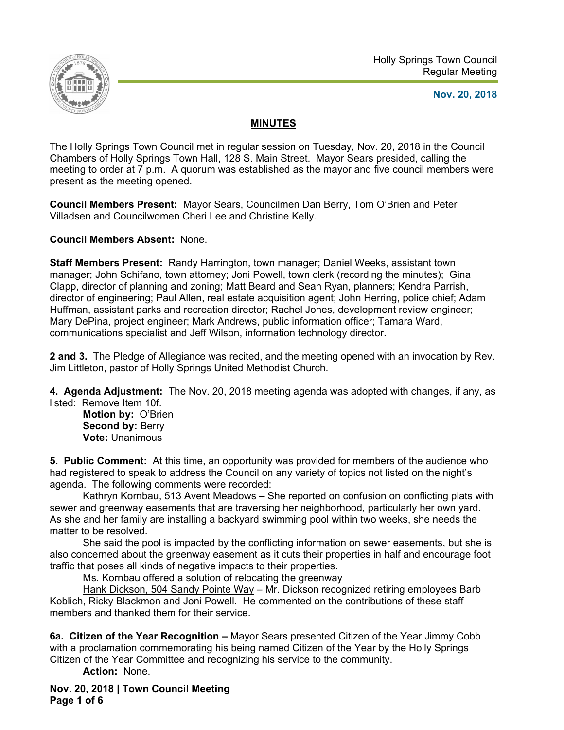

**Nov. 20, 2018** 

## **MINUTES**

The Holly Springs Town Council met in regular session on Tuesday, Nov. 20, 2018 in the Council Chambers of Holly Springs Town Hall, 128 S. Main Street. Mayor Sears presided, calling the meeting to order at 7 p.m. A quorum was established as the mayor and five council members were present as the meeting opened.

**Council Members Present:** Mayor Sears, Councilmen Dan Berry, Tom O'Brien and Peter Villadsen and Councilwomen Cheri Lee and Christine Kelly.

**Council Members Absent:** None.

**Staff Members Present:** Randy Harrington, town manager; Daniel Weeks, assistant town manager; John Schifano, town attorney; Joni Powell, town clerk (recording the minutes); Gina Clapp, director of planning and zoning; Matt Beard and Sean Ryan, planners; Kendra Parrish, director of engineering; Paul Allen, real estate acquisition agent; John Herring, police chief; Adam Huffman, assistant parks and recreation director; Rachel Jones, development review engineer; Mary DePina, project engineer; Mark Andrews, public information officer; Tamara Ward, communications specialist and Jeff Wilson, information technology director.

**2 and 3.** The Pledge of Allegiance was recited, and the meeting opened with an invocation by Rev. Jim Littleton, pastor of Holly Springs United Methodist Church.

**4. Agenda Adjustment:** The Nov. 20, 2018 meeting agenda was adopted with changes, if any, as listed: Remove Item 10f.

**Motion by:** O'Brien **Second by: Berry Vote:** Unanimous

**5. Public Comment:** At this time, an opportunity was provided for members of the audience who had registered to speak to address the Council on any variety of topics not listed on the night's agenda. The following comments were recorded:

Kathryn Kornbau, 513 Avent Meadows - She reported on confusion on conflicting plats with sewer and greenway easements that are traversing her neighborhood, particularly her own yard. As she and her family are installing a backyard swimming pool within two weeks, she needs the matter to be resolved.

 She said the pool is impacted by the conflicting information on sewer easements, but she is also concerned about the greenway easement as it cuts their properties in half and encourage foot traffic that poses all kinds of negative impacts to their properties.

Ms. Kornbau offered a solution of relocating the greenway

 Hank Dickson, 504 Sandy Pointe Way – Mr. Dickson recognized retiring employees Barb Koblich, Ricky Blackmon and Joni Powell. He commented on the contributions of these staff members and thanked them for their service.

**6a. Citizen of the Year Recognition –** Mayor Sears presented Citizen of the Year Jimmy Cobb with a proclamation commemorating his being named Citizen of the Year by the Holly Springs Citizen of the Year Committee and recognizing his service to the community.

**Action:** None.

**Nov. 20, 2018 | Town Council Meeting Page 1 of 6**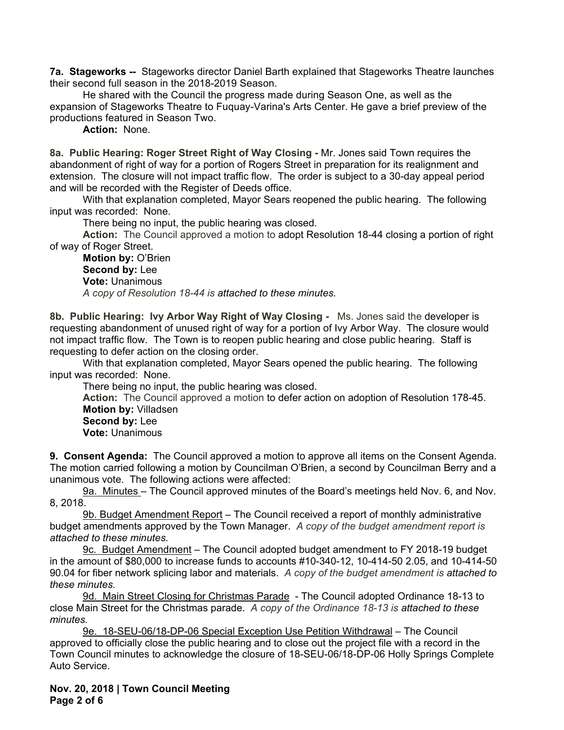**7a. Stageworks --** Stageworks director Daniel Barth explained that Stageworks Theatre launches their second full season in the 2018-2019 Season.

He shared with the Council the progress made during Season One, as well as the expansion of Stageworks Theatre to Fuquay-Varina's Arts Center. He gave a brief preview of the productions featured in Season Two.

**Action:** None.

**8a. Public Hearing: Roger Street Right of Way Closing -** Mr. Jones said Town requires the abandonment of right of way for a portion of Rogers Street in preparation for its realignment and extension. The closure will not impact traffic flow. The order is subject to a 30-day appeal period and will be recorded with the Register of Deeds office.

 With that explanation completed, Mayor Sears reopened the public hearing. The following input was recorded: None.

There being no input, the public hearing was closed.

**Action:** The Council approved a motion to adopt Resolution 18-44 closing a portion of right of way of Roger Street.

**Motion by:** O'Brien **Second by:** Lee **Vote:** Unanimous *A copy of Resolution 18-44 is attached to these minutes.* 

**8b. Public Hearing: Ivy Arbor Way Right of Way Closing -** Ms. Jones said the developer is requesting abandonment of unused right of way for a portion of Ivy Arbor Way. The closure would not impact traffic flow. The Town is to reopen public hearing and close public hearing. Staff is requesting to defer action on the closing order.

 With that explanation completed, Mayor Sears opened the public hearing. The following input was recorded: None.

There being no input, the public hearing was closed.

**Action:** The Council approved a motion to defer action on adoption of Resolution 178-45. **Motion by:** Villadsen **Second by:** Lee  **Vote:** Unanimous

**9. Consent Agenda:** The Council approved a motion to approve all items on the Consent Agenda. The motion carried following a motion by Councilman O'Brien, a second by Councilman Berry and a unanimous vote. The following actions were affected:

9a. Minutes – The Council approved minutes of the Board's meetings held Nov. 6, and Nov. 8, 2018.

9b. Budget Amendment Report - The Council received a report of monthly administrative budget amendments approved by the Town Manager. *A copy of the budget amendment report is attached to these minutes.* 

9c. Budget Amendment - The Council adopted budget amendment to FY 2018-19 budget in the amount of \$80,000 to increase funds to accounts #10-340-12, 10-414-50 2.05, and 10-414-50 90.04 for fiber network splicing labor and materials. *A copy of the budget amendment is attached to these minutes.* 

9d. Main Street Closing for Christmas Parade - The Council adopted Ordinance 18-13 to close Main Street for the Christmas parade. *A copy of the Ordinance 18-13 is attached to these minutes.* 

9e. 18-SEU-06/18-DP-06 Special Exception Use Petition Withdrawal – The Council approved to officially close the public hearing and to close out the project file with a record in the Town Council minutes to acknowledge the closure of 18-SEU-06/18-DP-06 Holly Springs Complete Auto Service.

**Nov. 20, 2018 | Town Council Meeting Page 2 of 6**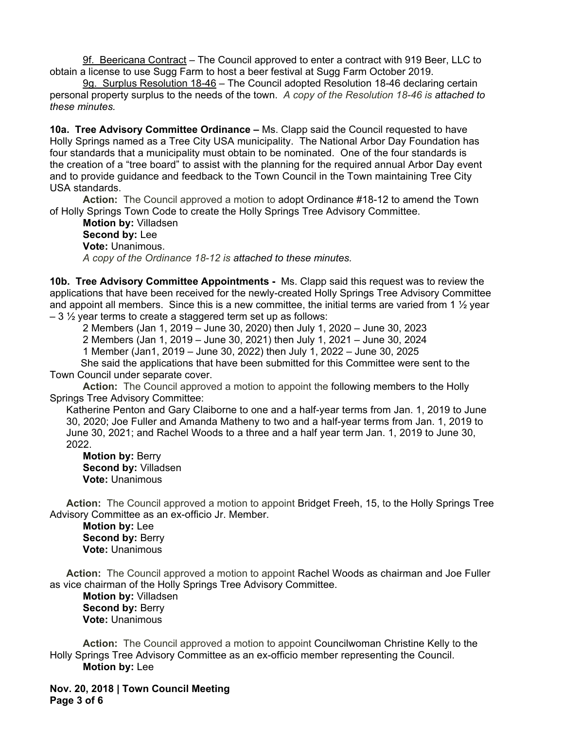9f. Beericana Contract – The Council approved to enter a contract with 919 Beer, LLC to obtain a license to use Sugg Farm to host a beer festival at Sugg Farm October 2019.

9g. Surplus Resolution 18-46 - The Council adopted Resolution 18-46 declaring certain personal property surplus to the needs of the town. *A copy of the Resolution 18-46 is attached to these minutes.* 

**10a. Tree Advisory Committee Ordinance –** Ms. Clapp said the Council requested to have Holly Springs named as a Tree City USA municipality. The National Arbor Day Foundation has four standards that a municipality must obtain to be nominated. One of the four standards is the creation of a "tree board" to assist with the planning for the required annual Arbor Day event and to provide guidance and feedback to the Town Council in the Town maintaining Tree City USA standards.

**Action:** The Council approved a motion to adopt Ordinance #18-12 to amend the Town of Holly Springs Town Code to create the Holly Springs Tree Advisory Committee.

**Motion by:** Villadsen **Second by:** Lee **Vote:** Unanimous. *A copy of the Ordinance 18-12 is attached to these minutes.* 

**10b. Tree Advisory Committee Appointments -** Ms. Clapp said this request was to review the applications that have been received for the newly-created Holly Springs Tree Advisory Committee and appoint all members. Since this is a new committee, the initial terms are varied from 1  $\frac{1}{2}$  year  $-3\frac{1}{2}$  year terms to create a staggered term set up as follows:

2 Members (Jan 1, 2019 – June 30, 2020) then July 1, 2020 – June 30, 2023

2 Members (Jan 1, 2019 – June 30, 2021) then July 1, 2021 – June 30, 2024

1 Member (Jan1, 2019 – June 30, 2022) then July 1, 2022 – June 30, 2025

 She said the applications that have been submitted for this Committee were sent to the Town Council under separate cover.

**Action:** The Council approved a motion to appoint the following members to the Holly Springs Tree Advisory Committee:

Katherine Penton and Gary Claiborne to one and a half-year terms from Jan. 1, 2019 to June 30, 2020; Joe Fuller and Amanda Matheny to two and a half-year terms from Jan. 1, 2019 to June 30, 2021; and Rachel Woods to a three and a half year term Jan. 1, 2019 to June 30, 2022.

 **Motion by:** Berry **Second by:** Villadsen **Vote:** Unanimous

**Action:** The Council approved a motion to appoint Bridget Freeh, 15, to the Holly Springs Tree Advisory Committee as an ex-officio Jr. Member.

 **Motion by:** Lee **Second by: Berry Vote:** Unanimous

**Action:** The Council approved a motion to appoint Rachel Woods as chairman and Joe Fuller as vice chairman of the Holly Springs Tree Advisory Committee.

 **Motion by:** Villadsen Second by: Berry **Vote:** Unanimous

**Action:** The Council approved a motion to appoint Councilwoman Christine Kelly to the Holly Springs Tree Advisory Committee as an ex-officio member representing the Council.  **Motion by:** Lee

**Nov. 20, 2018 | Town Council Meeting Page 3 of 6**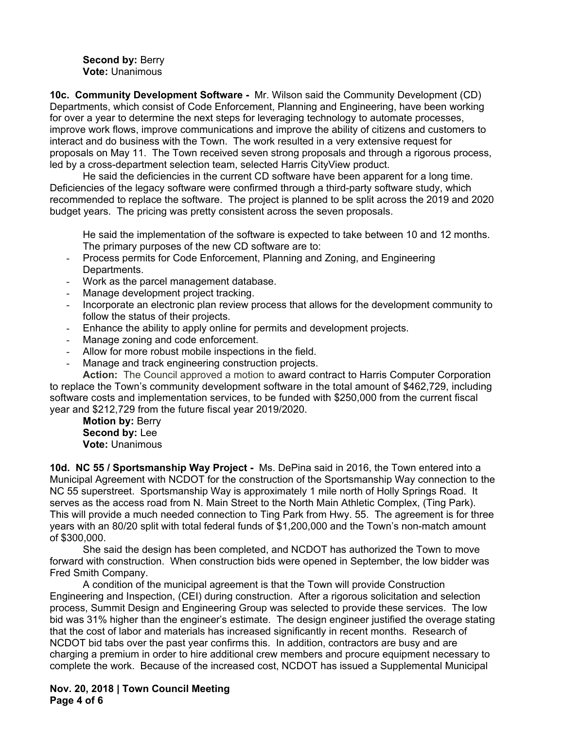## **Second by:** Berry **Vote:** Unanimous

**10c. Community Development Software -** Mr. Wilson said the Community Development (CD) Departments, which consist of Code Enforcement, Planning and Engineering, have been working for over a year to determine the next steps for leveraging technology to automate processes, improve work flows, improve communications and improve the ability of citizens and customers to interact and do business with the Town. The work resulted in a very extensive request for proposals on May 11. The Town received seven strong proposals and through a rigorous process, led by a cross-department selection team, selected Harris CityView product.

He said the deficiencies in the current CD software have been apparent for a long time. Deficiencies of the legacy software were confirmed through a third-party software study, which recommended to replace the software. The project is planned to be split across the 2019 and 2020 budget years. The pricing was pretty consistent across the seven proposals.

He said the implementation of the software is expected to take between 10 and 12 months. The primary purposes of the new CD software are to:

- Process permits for Code Enforcement, Planning and Zoning, and Engineering Departments.
- Work as the parcel management database.
- Manage development project tracking.
- Incorporate an electronic plan review process that allows for the development community to follow the status of their projects.
- Enhance the ability to apply online for permits and development projects.
- Manage zoning and code enforcement.
- Allow for more robust mobile inspections in the field.
- Manage and track engineering construction projects.

**Action:** The Council approved a motion to award contract to Harris Computer Corporation to replace the Town's community development software in the total amount of \$462,729, including software costs and implementation services, to be funded with \$250,000 from the current fiscal year and \$212,729 from the future fiscal year 2019/2020.

**Motion by:** Berry **Second by:** Lee **Vote:** Unanimous

**10d. NC 55 / Sportsmanship Way Project -** Ms. DePina said in 2016, the Town entered into a Municipal Agreement with NCDOT for the construction of the Sportsmanship Way connection to the NC 55 superstreet. Sportsmanship Way is approximately 1 mile north of Holly Springs Road. It serves as the access road from N. Main Street to the North Main Athletic Complex, (Ting Park). This will provide a much needed connection to Ting Park from Hwy. 55. The agreement is for three years with an 80/20 split with total federal funds of \$1,200,000 and the Town's non-match amount of \$300,000.

 She said the design has been completed, and NCDOT has authorized the Town to move forward with construction. When construction bids were opened in September, the low bidder was Fred Smith Company.

 A condition of the municipal agreement is that the Town will provide Construction Engineering and Inspection, (CEI) during construction. After a rigorous solicitation and selection process, Summit Design and Engineering Group was selected to provide these services. The low bid was 31% higher than the engineer's estimate. The design engineer justified the overage stating that the cost of labor and materials has increased significantly in recent months. Research of NCDOT bid tabs over the past year confirms this. In addition, contractors are busy and are charging a premium in order to hire additional crew members and procure equipment necessary to complete the work. Because of the increased cost, NCDOT has issued a Supplemental Municipal

**Nov. 20, 2018 | Town Council Meeting Page 4 of 6**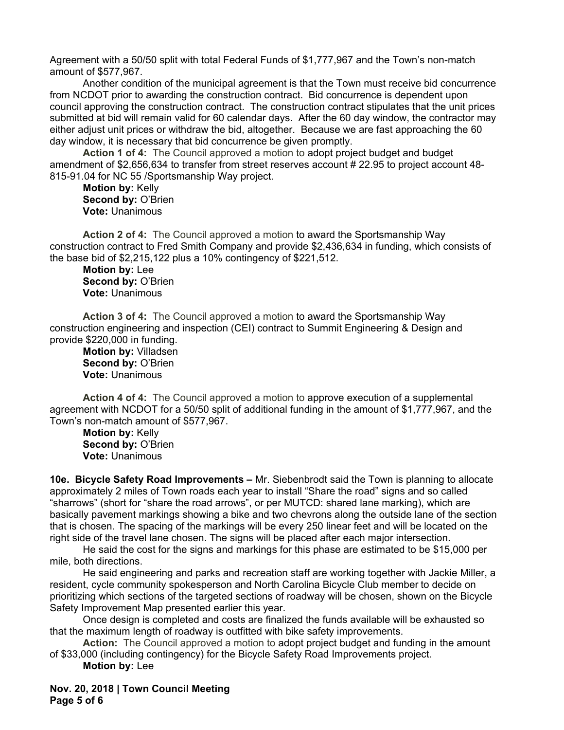Agreement with a 50/50 split with total Federal Funds of \$1,777,967 and the Town's non-match amount of \$577,967.

Another condition of the municipal agreement is that the Town must receive bid concurrence from NCDOT prior to awarding the construction contract. Bid concurrence is dependent upon council approving the construction contract. The construction contract stipulates that the unit prices submitted at bid will remain valid for 60 calendar days. After the 60 day window, the contractor may either adjust unit prices or withdraw the bid, altogether. Because we are fast approaching the 60 day window, it is necessary that bid concurrence be given promptly.

**Action 1 of 4:** The Council approved a motion to adopt project budget and budget amendment of \$2,656,634 to transfer from street reserves account # 22.95 to project account 48- 815-91.04 for NC 55 /Sportsmanship Way project.

**Motion by:** Kelly **Second by:** O'Brien **Vote:** Unanimous

**Action 2 of 4:** The Council approved a motion to award the Sportsmanship Way construction contract to Fred Smith Company and provide \$2,436,634 in funding, which consists of the base bid of \$2,215,122 plus a 10% contingency of \$221,512.

**Motion by:** Lee **Second by:** O'Brien **Vote:** Unanimous

**Action 3 of 4:** The Council approved a motion to award the Sportsmanship Way construction engineering and inspection (CEI) contract to Summit Engineering & Design and provide \$220,000 in funding.

**Motion by:** Villadsen **Second by:** O'Brien **Vote:** Unanimous

**Action 4 of 4:** The Council approved a motion to approve execution of a supplemental agreement with NCDOT for a 50/50 split of additional funding in the amount of \$1,777,967, and the Town's non-match amount of \$577,967.

**Motion by:** Kelly **Second by:** O'Brien **Vote:** Unanimous

**10e. Bicycle Safety Road Improvements –** Mr. Siebenbrodt said the Town is planning to allocate approximately 2 miles of Town roads each year to install "Share the road" signs and so called "sharrows" (short for "share the road arrows", or per MUTCD: shared lane marking), which are basically pavement markings showing a bike and two chevrons along the outside lane of the section that is chosen. The spacing of the markings will be every 250 linear feet and will be located on the right side of the travel lane chosen. The signs will be placed after each major intersection.

He said the cost for the signs and markings for this phase are estimated to be \$15,000 per mile, both directions.

He said engineering and parks and recreation staff are working together with Jackie Miller, a resident, cycle community spokesperson and North Carolina Bicycle Club member to decide on prioritizing which sections of the targeted sections of roadway will be chosen, shown on the Bicycle Safety Improvement Map presented earlier this year.

Once design is completed and costs are finalized the funds available will be exhausted so that the maximum length of roadway is outfitted with bike safety improvements.

**Action:** The Council approved a motion to adopt project budget and funding in the amount of \$33,000 (including contingency) for the Bicycle Safety Road Improvements project.

**Motion by:** Lee

**Nov. 20, 2018 | Town Council Meeting Page 5 of 6**